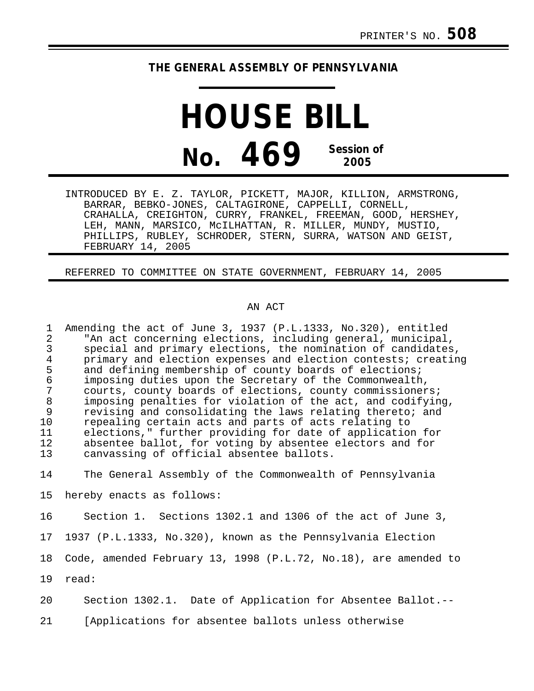## **THE GENERAL ASSEMBLY OF PENNSYLVANIA**

**HOUSE BILL No. 469 Session of 2005**

INTRODUCED BY E. Z. TAYLOR, PICKETT, MAJOR, KILLION, ARMSTRONG, BARRAR, BEBKO-JONES, CALTAGIRONE, CAPPELLI, CORNELL, CRAHALLA, CREIGHTON, CURRY, FRANKEL, FREEMAN, GOOD, HERSHEY, LEH, MANN, MARSICO, McILHATTAN, R. MILLER, MUNDY, MUSTIO, PHILLIPS, RUBLEY, SCHRODER, STERN, SURRA, WATSON AND GEIST, FEBRUARY 14, 2005

REFERRED TO COMMITTEE ON STATE GOVERNMENT, FEBRUARY 14, 2005

## AN ACT

1 Amending the act of June 3, 1937 (P.L.1333, No.320), entitled 2 The act concerning elections, including general, municipal,<br>3 Special and primary elections, the nomination of candidates 3 special and primary elections, the nomination of candidates,<br>4 orimary and election expenses and election contests; creating 4 primary and election expenses and election contests; creating<br>5 and defining membership of county boards of elections; 5 and defining membership of county boards of elections;<br>6 imposing duties upon the Secretary of the Commonwealth 6 imposing duties upon the Secretary of the Commonwealth, zupersity and the matrix of elections, county commissioners; 8 imposing penalties for violation of the act, and codifying,<br>9 revising and consolidating the laws relating thereto; and 9 revising and consolidating the laws relating thereto; and<br>10 repealing certain acts and parts of acts relating to repealing certain acts and parts of acts relating to 11 elections," further providing for date of application for absentee ballot, for voting by absentee electors and for 13 canvassing of official absentee ballots.

14 The General Assembly of the Commonwealth of Pennsylvania

15 hereby enacts as follows:

16 Section 1. Sections 1302.1 and 1306 of the act of June 3,

17 1937 (P.L.1333, No.320), known as the Pennsylvania Election

18 Code, amended February 13, 1998 (P.L.72, No.18), are amended to

19 read:

20 Section 1302.1. Date of Application for Absentee Ballot.--

21 [Applications for absentee ballots unless otherwise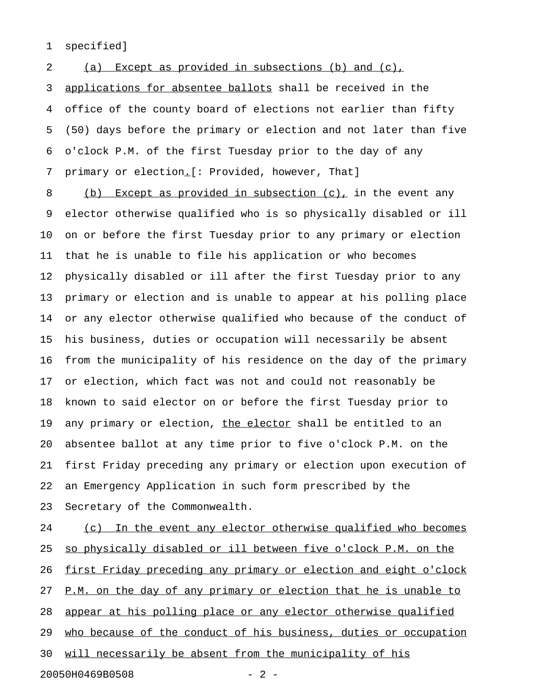1 specified]

2 (a) Except as provided in subsections (b) and (c), 3 applications for absentee ballots shall be received in the 4 office of the county board of elections not earlier than fifty 5 (50) days before the primary or election and not later than five 6 o'clock P.M. of the first Tuesday prior to the day of any 7 primary or election. [: Provided, however, That]

8 (b) Except as provided in subsection (c), in the event any 9 elector otherwise qualified who is so physically disabled or ill 10 on or before the first Tuesday prior to any primary or election 11 that he is unable to file his application or who becomes 12 physically disabled or ill after the first Tuesday prior to any 13 primary or election and is unable to appear at his polling place 14 or any elector otherwise qualified who because of the conduct of 15 his business, duties or occupation will necessarily be absent 16 from the municipality of his residence on the day of the primary 17 or election, which fact was not and could not reasonably be 18 known to said elector on or before the first Tuesday prior to 19 any primary or election, the elector shall be entitled to an 20 absentee ballot at any time prior to five o'clock P.M. on the 21 first Friday preceding any primary or election upon execution of 22 an Emergency Application in such form prescribed by the 23 Secretary of the Commonwealth.

24 (c) In the event any elector otherwise qualified who becomes 25 so physically disabled or ill between five o'clock P.M. on the 26 first Friday preceding any primary or election and eight o'clock 27 P.M. on the day of any primary or election that he is unable to 28 appear at his polling place or any elector otherwise qualified 29 who because of the conduct of his business, duties or occupation 30 will necessarily be absent from the municipality of his 20050H0469B0508 - 2 -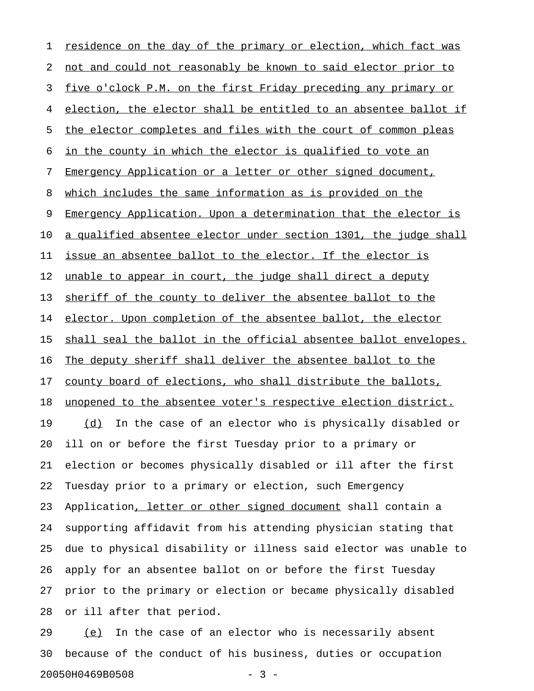1 residence on the day of the primary or election, which fact was 2 not and could not reasonably be known to said elector prior to 3 five o'clock P.M. on the first Friday preceding any primary or 4 election, the elector shall be entitled to an absentee ballot if 5 the elector completes and files with the court of common pleas 6 in the county in which the elector is qualified to vote an 7 Emergency Application or a letter or other signed document, 8 which includes the same information as is provided on the 9 Emergency Application. Upon a determination that the elector is 10 a qualified absentee elector under section 1301, the judge shall 11 issue an absentee ballot to the elector. If the elector is 12 unable to appear in court, the judge shall direct a deputy 13 sheriff of the county to deliver the absentee ballot to the 14 elector. Upon completion of the absentee ballot, the elector 15 shall seal the ballot in the official absentee ballot envelopes. 16 The deputy sheriff shall deliver the absentee ballot to the 17 county board of elections, who shall distribute the ballots, 18 unopened to the absentee voter's respective election district. 19 (d) In the case of an elector who is physically disabled or 20 ill on or before the first Tuesday prior to a primary or 21 election or becomes physically disabled or ill after the first 22 Tuesday prior to a primary or election, such Emergency 23 Application, letter or other signed document shall contain a 24 supporting affidavit from his attending physician stating that 25 due to physical disability or illness said elector was unable to 26 apply for an absentee ballot on or before the first Tuesday 27 prior to the primary or election or became physically disabled 28 or ill after that period.

29 (e) In the case of an elector who is necessarily absent 30 because of the conduct of his business, duties or occupation 20050H0469B0508 - 3 -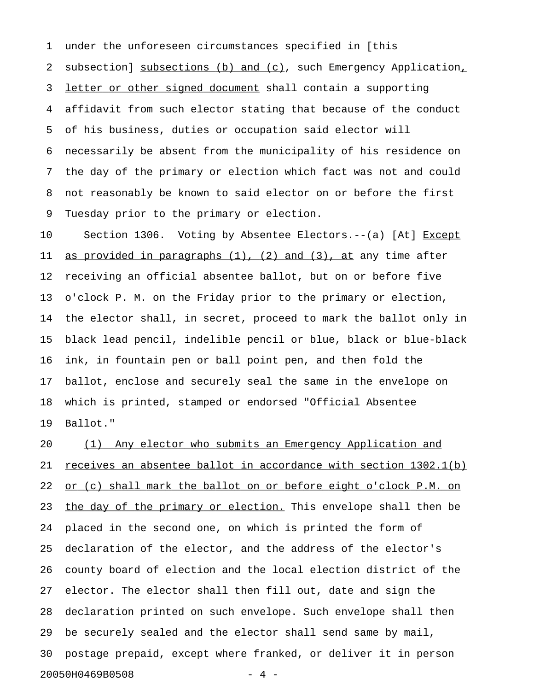1 under the unforeseen circumstances specified in [this 2 subsection] subsections (b) and (c), such Emergency Application, 3 letter or other signed document shall contain a supporting 4 affidavit from such elector stating that because of the conduct 5 of his business, duties or occupation said elector will 6 necessarily be absent from the municipality of his residence on 7 the day of the primary or election which fact was not and could 8 not reasonably be known to said elector on or before the first 9 Tuesday prior to the primary or election.

10 Section 1306. Voting by Absentee Electors.--(a) [At] Except 11 as provided in paragraphs  $(1)$ ,  $(2)$  and  $(3)$ , at any time after 12 receiving an official absentee ballot, but on or before five 13 o'clock P. M. on the Friday prior to the primary or election, 14 the elector shall, in secret, proceed to mark the ballot only in 15 black lead pencil, indelible pencil or blue, black or blue-black 16 ink, in fountain pen or ball point pen, and then fold the 17 ballot, enclose and securely seal the same in the envelope on 18 which is printed, stamped or endorsed "Official Absentee 19 Ballot."

20 (1) Any elector who submits an Emergency Application and 21 receives an absentee ballot in accordance with section 1302.1(b) 22 or (c) shall mark the ballot on or before eight o'clock P.M. on 23 the day of the primary or election. This envelope shall then be 24 placed in the second one, on which is printed the form of 25 declaration of the elector, and the address of the elector's 26 county board of election and the local election district of the 27 elector. The elector shall then fill out, date and sign the 28 declaration printed on such envelope. Such envelope shall then 29 be securely sealed and the elector shall send same by mail, 30 postage prepaid, except where franked, or deliver it in person 20050H0469B0508 - 4 -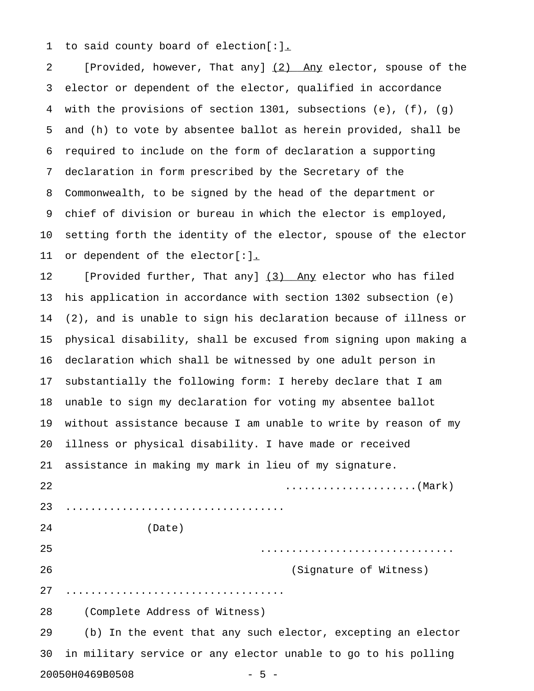1 to said county board of election[:].

2 [Provided, however, That any] (2) Any elector, spouse of the 3 elector or dependent of the elector, qualified in accordance 4 with the provisions of section 1301, subsections (e), (f), (g) 5 and (h) to vote by absentee ballot as herein provided, shall be 6 required to include on the form of declaration a supporting 7 declaration in form prescribed by the Secretary of the 8 Commonwealth, to be signed by the head of the department or 9 chief of division or bureau in which the elector is employed, 10 setting forth the identity of the elector, spouse of the elector 11 or dependent of the elector[:].

12 [Provided further, That any] (3) Any elector who has filed 13 his application in accordance with section 1302 subsection (e) 14 (2), and is unable to sign his declaration because of illness or 15 physical disability, shall be excused from signing upon making a 16 declaration which shall be witnessed by one adult person in 17 substantially the following form: I hereby declare that I am 18 unable to sign my declaration for voting my absentee ballot 19 without assistance because I am unable to write by reason of my 20 illness or physical disability. I have made or received 21 assistance in making my mark in lieu of my signature. 22 .....................(Mark) 23 ................................... 24 (Date) 25 ............................... 26 (Signature of Witness) 27 ................................... 28 (Complete Address of Witness) 29 (b) In the event that any such elector, excepting an elector 30 in military service or any elector unable to go to his polling 20050H0469B0508 - 5 -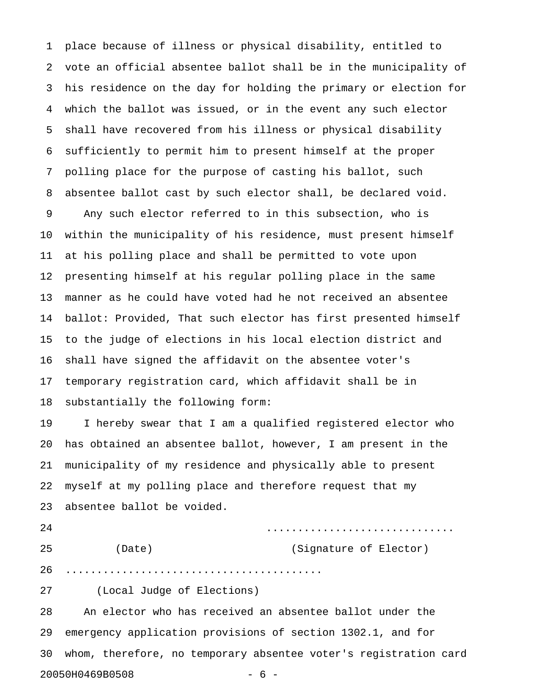1 place because of illness or physical disability, entitled to 2 vote an official absentee ballot shall be in the municipality of 3 his residence on the day for holding the primary or election for 4 which the ballot was issued, or in the event any such elector 5 shall have recovered from his illness or physical disability 6 sufficiently to permit him to present himself at the proper 7 polling place for the purpose of casting his ballot, such 8 absentee ballot cast by such elector shall, be declared void. 9 Any such elector referred to in this subsection, who is 10 within the municipality of his residence, must present himself 11 at his polling place and shall be permitted to vote upon 12 presenting himself at his regular polling place in the same 13 manner as he could have voted had he not received an absentee 14 ballot: Provided, That such elector has first presented himself 15 to the judge of elections in his local election district and 16 shall have signed the affidavit on the absentee voter's 17 temporary registration card, which affidavit shall be in 18 substantially the following form: 19 I hereby swear that I am a qualified registered elector who 20 has obtained an absentee ballot, however, I am present in the 21 municipality of my residence and physically able to present 22 myself at my polling place and therefore request that my 23 absentee ballot be voided. 24 .............................. 25 (Date) (Signature of Elector) 26 ......................................... 27 (Local Judge of Elections) 28 An elector who has received an absentee ballot under the 29 emergency application provisions of section 1302.1, and for 30 whom, therefore, no temporary absentee voter's registration card

20050H0469B0508 - 6 -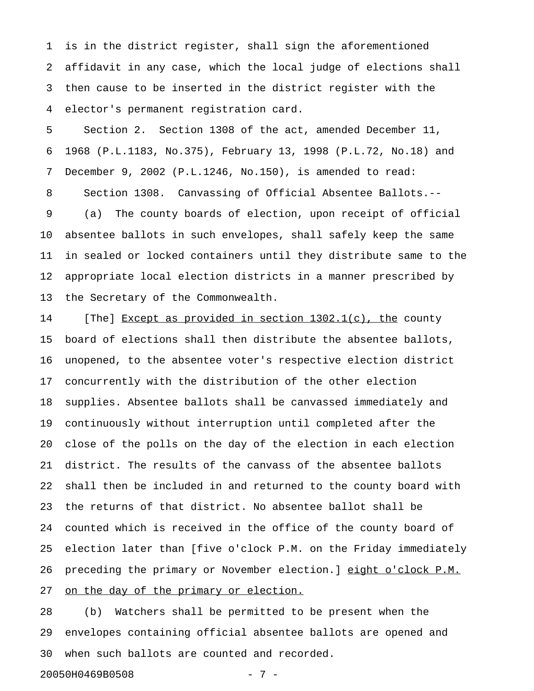1 is in the district register, shall sign the aforementioned 2 affidavit in any case, which the local judge of elections shall 3 then cause to be inserted in the district register with the 4 elector's permanent registration card.

5 Section 2. Section 1308 of the act, amended December 11, 6 1968 (P.L.1183, No.375), February 13, 1998 (P.L.72, No.18) and 7 December 9, 2002 (P.L.1246, No.150), is amended to read: 8 Section 1308. Canvassing of Official Absentee Ballots.-- 9 (a) The county boards of election, upon receipt of official 10 absentee ballots in such envelopes, shall safely keep the same 11 in sealed or locked containers until they distribute same to the 12 appropriate local election districts in a manner prescribed by 13 the Secretary of the Commonwealth.

14 [The] Except as provided in section 1302.1(c), the county 15 board of elections shall then distribute the absentee ballots, 16 unopened, to the absentee voter's respective election district 17 concurrently with the distribution of the other election 18 supplies. Absentee ballots shall be canvassed immediately and 19 continuously without interruption until completed after the 20 close of the polls on the day of the election in each election 21 district. The results of the canvass of the absentee ballots 22 shall then be included in and returned to the county board with 23 the returns of that district. No absentee ballot shall be 24 counted which is received in the office of the county board of 25 election later than [five o'clock P.M. on the Friday immediately 26 preceding the primary or November election.] eight o'clock P.M. 27 on the day of the primary or election.

28 (b) Watchers shall be permitted to be present when the 29 envelopes containing official absentee ballots are opened and 30 when such ballots are counted and recorded.

20050H0469B0508 - 7 -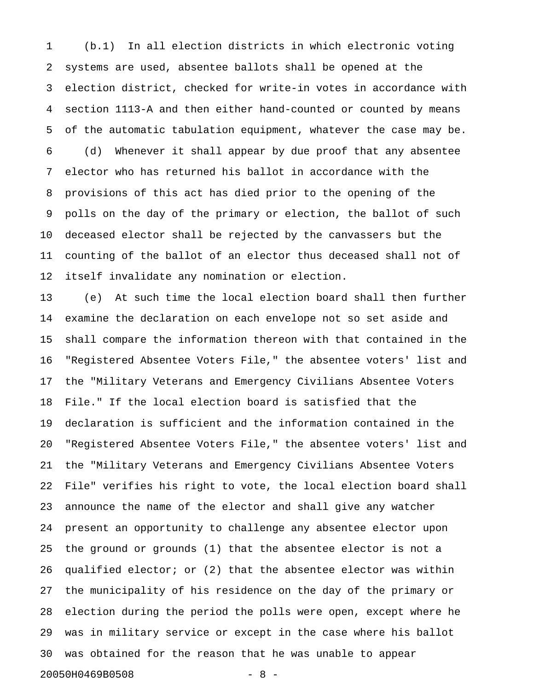1 (b.1) In all election districts in which electronic voting 2 systems are used, absentee ballots shall be opened at the 3 election district, checked for write-in votes in accordance with 4 section 1113-A and then either hand-counted or counted by means 5 of the automatic tabulation equipment, whatever the case may be. 6 (d) Whenever it shall appear by due proof that any absentee 7 elector who has returned his ballot in accordance with the 8 provisions of this act has died prior to the opening of the 9 polls on the day of the primary or election, the ballot of such 10 deceased elector shall be rejected by the canvassers but the 11 counting of the ballot of an elector thus deceased shall not of 12 itself invalidate any nomination or election.

13 (e) At such time the local election board shall then further 14 examine the declaration on each envelope not so set aside and 15 shall compare the information thereon with that contained in the 16 "Registered Absentee Voters File," the absentee voters' list and 17 the "Military Veterans and Emergency Civilians Absentee Voters 18 File." If the local election board is satisfied that the 19 declaration is sufficient and the information contained in the 20 "Registered Absentee Voters File," the absentee voters' list and 21 the "Military Veterans and Emergency Civilians Absentee Voters 22 File" verifies his right to vote, the local election board shall 23 announce the name of the elector and shall give any watcher 24 present an opportunity to challenge any absentee elector upon 25 the ground or grounds (1) that the absentee elector is not a 26 qualified elector; or (2) that the absentee elector was within 27 the municipality of his residence on the day of the primary or 28 election during the period the polls were open, except where he 29 was in military service or except in the case where his ballot 30 was obtained for the reason that he was unable to appear 20050H0469B0508 - 8 -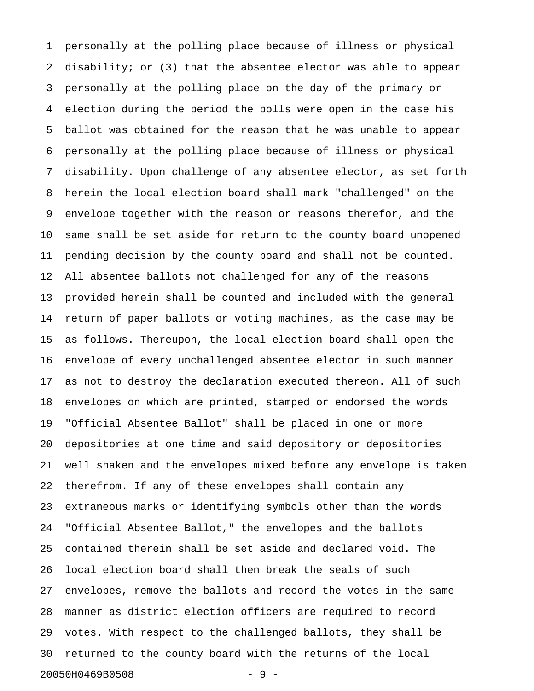1 personally at the polling place because of illness or physical 2 disability; or (3) that the absentee elector was able to appear 3 personally at the polling place on the day of the primary or 4 election during the period the polls were open in the case his 5 ballot was obtained for the reason that he was unable to appear 6 personally at the polling place because of illness or physical 7 disability. Upon challenge of any absentee elector, as set forth 8 herein the local election board shall mark "challenged" on the 9 envelope together with the reason or reasons therefor, and the 10 same shall be set aside for return to the county board unopened 11 pending decision by the county board and shall not be counted. 12 All absentee ballots not challenged for any of the reasons 13 provided herein shall be counted and included with the general 14 return of paper ballots or voting machines, as the case may be 15 as follows. Thereupon, the local election board shall open the 16 envelope of every unchallenged absentee elector in such manner 17 as not to destroy the declaration executed thereon. All of such 18 envelopes on which are printed, stamped or endorsed the words 19 "Official Absentee Ballot" shall be placed in one or more 20 depositories at one time and said depository or depositories 21 well shaken and the envelopes mixed before any envelope is taken 22 therefrom. If any of these envelopes shall contain any 23 extraneous marks or identifying symbols other than the words 24 "Official Absentee Ballot," the envelopes and the ballots 25 contained therein shall be set aside and declared void. The 26 local election board shall then break the seals of such 27 envelopes, remove the ballots and record the votes in the same 28 manner as district election officers are required to record 29 votes. With respect to the challenged ballots, they shall be 30 returned to the county board with the returns of the local 20050H0469B0508 - 9 -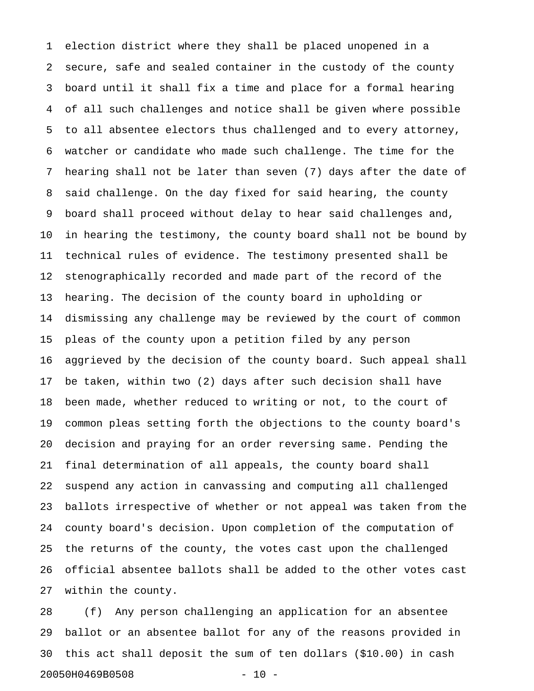1 election district where they shall be placed unopened in a 2 secure, safe and sealed container in the custody of the county 3 board until it shall fix a time and place for a formal hearing 4 of all such challenges and notice shall be given where possible 5 to all absentee electors thus challenged and to every attorney, 6 watcher or candidate who made such challenge. The time for the 7 hearing shall not be later than seven (7) days after the date of 8 said challenge. On the day fixed for said hearing, the county 9 board shall proceed without delay to hear said challenges and, 10 in hearing the testimony, the county board shall not be bound by 11 technical rules of evidence. The testimony presented shall be 12 stenographically recorded and made part of the record of the 13 hearing. The decision of the county board in upholding or 14 dismissing any challenge may be reviewed by the court of common 15 pleas of the county upon a petition filed by any person 16 aggrieved by the decision of the county board. Such appeal shall 17 be taken, within two (2) days after such decision shall have 18 been made, whether reduced to writing or not, to the court of 19 common pleas setting forth the objections to the county board's 20 decision and praying for an order reversing same. Pending the 21 final determination of all appeals, the county board shall 22 suspend any action in canvassing and computing all challenged 23 ballots irrespective of whether or not appeal was taken from the 24 county board's decision. Upon completion of the computation of 25 the returns of the county, the votes cast upon the challenged 26 official absentee ballots shall be added to the other votes cast 27 within the county.

28 (f) Any person challenging an application for an absentee 29 ballot or an absentee ballot for any of the reasons provided in 30 this act shall deposit the sum of ten dollars (\$10.00) in cash 20050H0469B0508 - 10 -